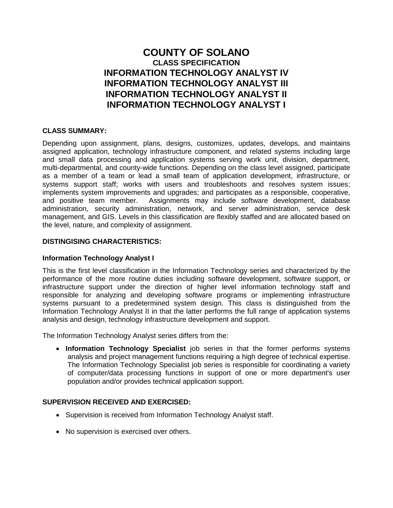# **COUNTY OF SOLANO CLASS SPECIFICATION INFORMATION TECHNOLOGY ANALYST IV INFORMATION TECHNOLOGY ANALYST III INFORMATION TECHNOLOGY ANALYST II INFORMATION TECHNOLOGY ANALYST I**

# **CLASS SUMMARY:**

Depending upon assignment, plans, designs, customizes, updates, develops, and maintains assigned application, technology infrastructure component, and related systems including large and small data processing and application systems serving work unit, division, department, multi-departmental, and county-wide functions. Depending on the class level assigned, participate as a member of a team or lead a small team of application development, infrastructure, or systems support staff; works with users and troubleshoots and resolves system issues; implements system improvements and upgrades; and participates as a responsible, cooperative, and positive team member. Assignments may include software development, database administration, security administration, network, and server administration, service desk management, and GIS. Levels in this classification are flexibly staffed and are allocated based on the level, nature, and complexity of assignment.

# **DISTINGISING CHARACTERISTICS:**

# **Information Technology Analyst I**

This is the first level classification in the Information Technology series and characterized by the performance of the more routine duties including software development, software support, or infrastructure support under the direction of higher level information technology staff and responsible for analyzing and developing software programs or implementing infrastructure systems pursuant to a predetermined system design. This class is distinguished from the Information Technology Analyst II in that the latter performs the full range of application systems analysis and design, technology infrastructure development and support.

The Information Technology Analyst series differs from the:

 **Information Technology Specialist** job series in that the former performs systems analysis and project management functions requiring a high degree of technical expertise. The Information Technology Specialist job series is responsible for coordinating a variety of computer/data processing functions in support of one or more department's user population and/or provides technical application support.

# **SUPERVISION RECEIVED AND EXERCISED:**

- Supervision is received from Information Technology Analyst staff.
- No supervision is exercised over others.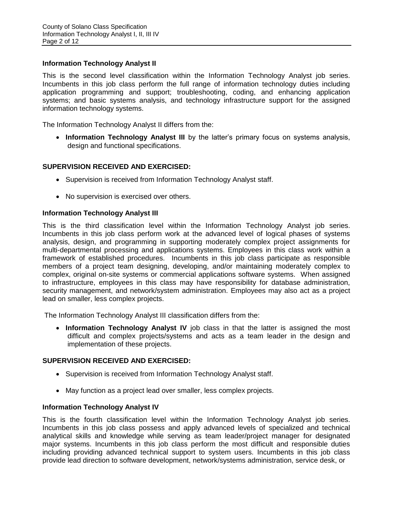## **Information Technology Analyst II**

This is the second level classification within the Information Technology Analyst job series. Incumbents in this job class perform the full range of information technology duties including application programming and support; troubleshooting, coding, and enhancing application systems; and basic systems analysis, and technology infrastructure support for the assigned information technology systems.

The Information Technology Analyst II differs from the:

 **Information Technology Analyst III** by the latter's primary focus on systems analysis, design and functional specifications.

# **SUPERVISION RECEIVED AND EXERCISED:**

- Supervision is received from Information Technology Analyst staff.
- No supervision is exercised over others.

## **Information Technology Analyst III**

This is the third classification level within the Information Technology Analyst job series. Incumbents in this job class perform work at the advanced level of logical phases of systems analysis, design, and programming in supporting moderately complex project assignments for multi-departmental processing and applications systems. Employees in this class work within a framework of established procedures. Incumbents in this job class participate as responsible members of a project team designing, developing, and/or maintaining moderately complex to complex, original on-site systems or commercial applications software systems. When assigned to infrastructure, employees in this class may have responsibility for database administration, security management, and network/system administration. Employees may also act as a project lead on smaller, less complex projects.

The Information Technology Analyst III classification differs from the:

 **Information Technology Analyst IV** job class in that the latter is assigned the most difficult and complex projects/systems and acts as a team leader in the design and implementation of these projects.

#### **SUPERVISION RECEIVED AND EXERCISED:**

- Supervision is received from Information Technology Analyst staff.
- May function as a project lead over smaller, less complex projects.

#### **Information Technology Analyst IV**

This is the fourth classification level within the Information Technology Analyst job series. Incumbents in this job class possess and apply advanced levels of specialized and technical analytical skills and knowledge while serving as team leader/project manager for designated major systems. Incumbents in this job class perform the most difficult and responsible duties including providing advanced technical support to system users. Incumbents in this job class provide lead direction to software development, network/systems administration, service desk, or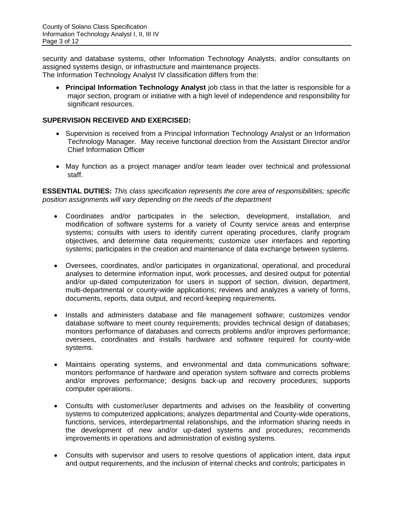security and database systems, other Information Technology Analysts, and/or consultants on assigned systems design, or infrastructure and maintenance projects.

The Information Technology Analyst IV classification differs from the:

 **Principal Information Technology Analyst** job class in that the latter is responsible for a major section, program or initiative with a high level of independence and responsibility for significant resources.

# **SUPERVISION RECEIVED AND EXERCISED:**

- Supervision is received from a Principal Information Technology Analyst or an Information Technology Manager. May receive functional direction from the Assistant Director and/or Chief Information Officer
- May function as a project manager and/or team leader over technical and professional staff.

**ESSENTIAL DUTIES:** *This class specification represents the core area of responsibilities; specific position assignments will vary depending on the needs of the department*

- Coordinates and/or participates in the selection, development, installation, and modification of software systems for a variety of County service areas and enterprise systems; consults with users to identify current operating procedures, clarify program objectives, and determine data requirements; customize user interfaces and reporting systems; participates in the creation and maintenance of data exchange between systems.
- Oversees, coordinates, and/or participates in organizational, operational, and procedural analyses to determine information input, work processes, and desired output for potential and/or up-dated computerization for users in support of section, division, department, multi-departmental or county-wide applications; reviews and analyzes a variety of forms, documents, reports, data output, and record-keeping requirements.
- Installs and administers database and file management software; customizes vendor database software to meet county requirements; provides technical design of databases; monitors performance of databases and corrects problems and/or improves performance; oversees, coordinates and installs hardware and software required for county-wide systems.
- Maintains operating systems, and environmental and data communications software; monitors performance of hardware and operation system software and corrects problems and/or improves performance; designs back-up and recovery procedures; supports computer operations.
- Consults with customer/user departments and advises on the feasibility of converting systems to computerized applications; analyzes departmental and County-wide operations, functions, services, interdepartmental relationships, and the information sharing needs in the development of new and/or up-dated systems and procedures; recommends improvements in operations and administration of existing systems.
- Consults with supervisor and users to resolve questions of application intent, data input and output requirements, and the inclusion of internal checks and controls; participates in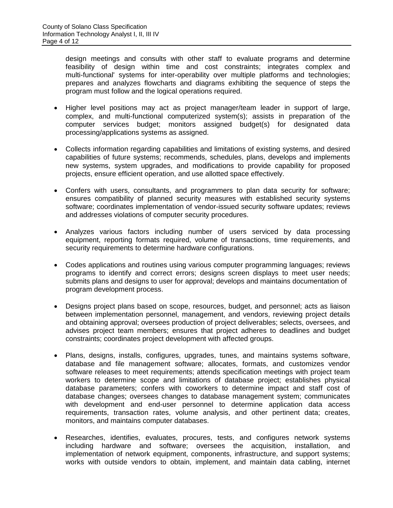design meetings and consults with other staff to evaluate programs and determine feasibility of design within time and cost constraints; integrates complex and multi-functional' systems for inter-operability over multiple platforms and technologies; prepares and analyzes flowcharts and diagrams exhibiting the sequence of steps the program must follow and the logical operations required.

- Higher level positions may act as project manager/team leader in support of large, complex, and multi-functional computerized system(s); assists in preparation of the computer services budget; monitors assigned budget(s) for designated data processing/applications systems as assigned.
- Collects information regarding capabilities and limitations of existing systems, and desired capabilities of future systems; recommends, schedules, plans, develops and implements new systems, system upgrades, and modifications to provide capability for proposed projects, ensure efficient operation, and use allotted space effectively.
- Confers with users, consultants, and programmers to plan data security for software; ensures compatibility of planned security measures with established security systems software; coordinates implementation of vendor-issued security software updates; reviews and addresses violations of computer security procedures.
- Analyzes various factors including number of users serviced by data processing equipment, reporting formats required, volume of transactions, time requirements, and security requirements to determine hardware configurations.
- Codes applications and routines using various computer programming languages; reviews programs to identify and correct errors; designs screen displays to meet user needs; submits plans and designs to user for approval; develops and maintains documentation of program development process.
- Designs project plans based on scope, resources, budget, and personnel; acts as liaison between implementation personnel, management, and vendors, reviewing project details and obtaining approval; oversees production of project deliverables; selects, oversees, and advises project team members; ensures that project adheres to deadlines and budget constraints; coordinates project development with affected groups.
- Plans, designs, installs, configures, upgrades, tunes, and maintains systems software, database and file management software; allocates, formats, and customizes vendor software releases to meet requirements; attends specification meetings with project team workers to determine scope and limitations of database project; establishes physical database parameters; confers with coworkers to determine impact and staff cost of database changes; oversees changes to database management system; communicates with development and end-user personnel to determine application data access requirements, transaction rates, volume analysis, and other pertinent data; creates, monitors, and maintains computer databases.
- Researches, identifies, evaluates, procures, tests, and configures network systems including hardware and software; oversees the acquisition, installation, and implementation of network equipment, components, infrastructure, and support systems; works with outside vendors to obtain, implement, and maintain data cabling, internet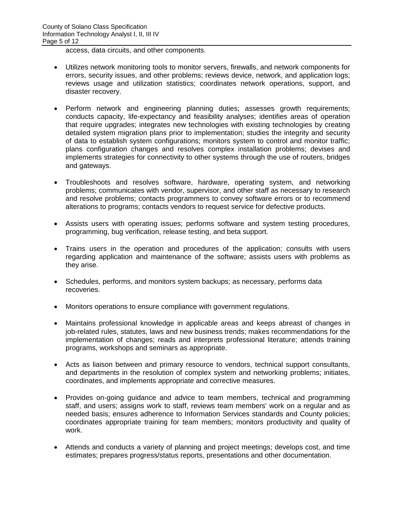access, data circuits, and other components.

- Utilizes network monitoring tools to monitor servers, firewalls, and network components for errors, security issues, and other problems; reviews device, network, and application logs; reviews usage and utilization statistics; coordinates network operations, support, and disaster recovery.
- Perform network and engineering planning duties; assesses growth requirements; conducts capacity, life-expectancy and feasibility analyses; identifies areas of operation that require upgrades; integrates new technologies with existing technologies by creating detailed system migration plans prior to implementation; studies the integrity and security of data to establish system configurations; monitors system to control and monitor traffic; plans configuration changes and resolves complex installation problems; devises and implements strategies for connectivity to other systems through the use of routers, bridges and gateways.
- Troubleshoots and resolves software, hardware, operating system, and networking problems; communicates with vendor, supervisor, and other staff as necessary to research and resolve problems; contacts programmers to convey software errors or to recommend alterations to programs; contacts vendors to request service for defective products.
- Assists users with operating issues; performs software and system testing procedures, programming, bug verification, release testing, and beta support.
- Trains users in the operation and procedures of the application; consults with users regarding application and maintenance of the software; assists users with problems as they arise.
- Schedules, performs, and monitors system backups; as necessary, performs data recoveries.
- Monitors operations to ensure compliance with government regulations.
- Maintains professional knowledge in applicable areas and keeps abreast of changes in job-related rules, statutes, laws and new business trends; makes recommendations for the implementation of changes; reads and interprets professional literature; attends training programs, workshops and seminars as appropriate.
- Acts as liaison between and primary resource to vendors, technical support consultants, and departments in the resolution of complex system and networking problems; initiates, coordinates, and implements appropriate and corrective measures.
- Provides on-going guidance and advice to team members, technical and programming staff, and users; assigns work to staff, reviews team members' work on a regular and as needed basis; ensures adherence to Information Services standards and County policies; coordinates appropriate training for team members; monitors productivity and quality of work.
- Attends and conducts a variety of planning and project meetings; develops cost, and time estimates; prepares progress/status reports, presentations and other documentation.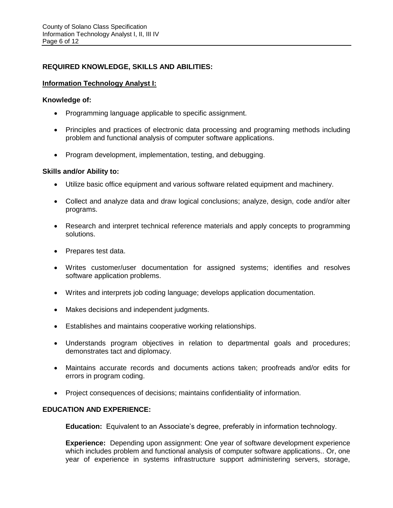# **REQUIRED KNOWLEDGE, SKILLS AND ABILITIES:**

## **Information Technology Analyst I:**

#### **Knowledge of:**

- Programming language applicable to specific assignment.
- Principles and practices of electronic data processing and programing methods including problem and functional analysis of computer software applications.
- Program development, implementation, testing, and debugging.

## **Skills and/or Ability to:**

- Utilize basic office equipment and various software related equipment and machinery.
- Collect and analyze data and draw logical conclusions; analyze, design, code and/or alter programs.
- Research and interpret technical reference materials and apply concepts to programming solutions.
- Prepares test data.
- Writes customer/user documentation for assigned systems; identifies and resolves software application problems.
- Writes and interprets job coding language; develops application documentation.
- Makes decisions and independent judgments.
- Establishes and maintains cooperative working relationships.
- Understands program objectives in relation to departmental goals and procedures; demonstrates tact and diplomacy.
- Maintains accurate records and documents actions taken; proofreads and/or edits for errors in program coding.
- Project consequences of decisions; maintains confidentiality of information.

# **EDUCATION AND EXPERIENCE:**

**Education:** Equivalent to an Associate's degree, preferably in information technology.

**Experience:** Depending upon assignment: One year of software development experience which includes problem and functional analysis of computer software applications.. Or, one year of experience in systems infrastructure support administering servers, storage,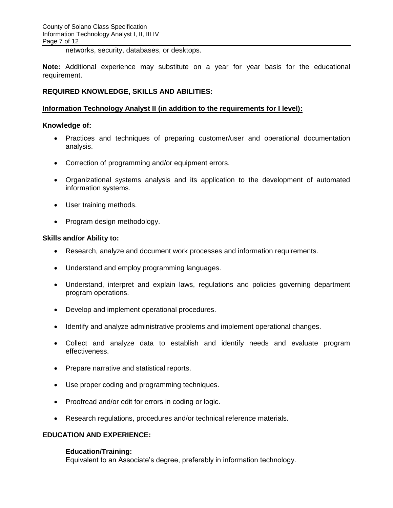networks, security, databases, or desktops.

**Note:** Additional experience may substitute on a year for year basis for the educational requirement.

## **REQUIRED KNOWLEDGE, SKILLS AND ABILITIES:**

#### **Information Technology Analyst II (in addition to the requirements for I level):**

#### **Knowledge of:**

- Practices and techniques of preparing customer/user and operational documentation analysis.
- Correction of programming and/or equipment errors.
- Organizational systems analysis and its application to the development of automated information systems.
- User training methods.
- Program design methodology.

#### **Skills and/or Ability to:**

- Research, analyze and document work processes and information requirements.
- Understand and employ programming languages.
- Understand, interpret and explain laws, regulations and policies governing department program operations.
- Develop and implement operational procedures.
- Identify and analyze administrative problems and implement operational changes.
- Collect and analyze data to establish and identify needs and evaluate program effectiveness.
- Prepare narrative and statistical reports.
- Use proper coding and programming techniques.
- Proofread and/or edit for errors in coding or logic.
- Research regulations, procedures and/or technical reference materials.

## **EDUCATION AND EXPERIENCE:**

#### **Education/Training:**

Equivalent to an Associate's degree, preferably in information technology.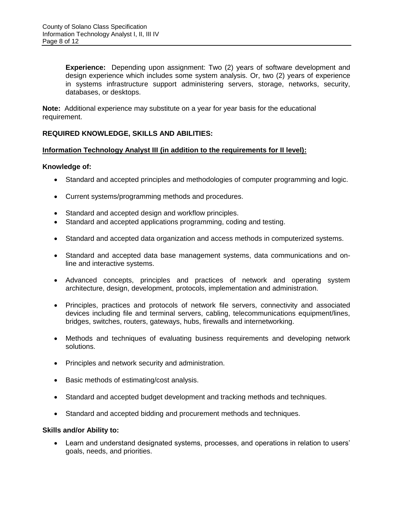**Experience:** Depending upon assignment: Two (2) years of software development and design experience which includes some system analysis. Or, two (2) years of experience in systems infrastructure support administering servers, storage, networks, security, databases, or desktops.

**Note:** Additional experience may substitute on a year for year basis for the educational requirement.

# **REQUIRED KNOWLEDGE, SKILLS AND ABILITIES:**

## **Information Technology Analyst III (in addition to the requirements for II level):**

## **Knowledge of:**

- Standard and accepted principles and methodologies of computer programming and logic.
- Current systems/programming methods and procedures.
- Standard and accepted design and workflow principles.
- Standard and accepted applications programming, coding and testing.
- Standard and accepted data organization and access methods in computerized systems.
- Standard and accepted data base management systems, data communications and online and interactive systems.
- Advanced concepts, principles and practices of network and operating system architecture, design, development, protocols, implementation and administration.
- Principles, practices and protocols of network file servers, connectivity and associated devices including file and terminal servers, cabling, telecommunications equipment/lines, bridges, switches, routers, gateways, hubs, firewalls and internetworking.
- Methods and techniques of evaluating business requirements and developing network solutions.
- Principles and network security and administration.
- Basic methods of estimating/cost analysis.
- Standard and accepted budget development and tracking methods and techniques.
- Standard and accepted bidding and procurement methods and techniques.

#### **Skills and/or Ability to:**

 Learn and understand designated systems, processes, and operations in relation to users' goals, needs, and priorities.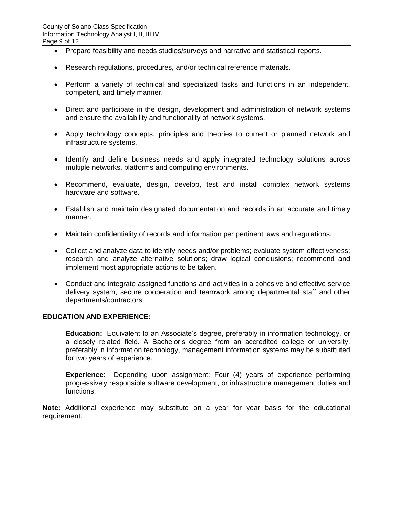- Prepare feasibility and needs studies/surveys and narrative and statistical reports.
- Research regulations, procedures, and/or technical reference materials.
- Perform a variety of technical and specialized tasks and functions in an independent, competent, and timely manner.
- Direct and participate in the design, development and administration of network systems and ensure the availability and functionality of network systems.
- Apply technology concepts, principles and theories to current or planned network and infrastructure systems.
- Identify and define business needs and apply integrated technology solutions across multiple networks, platforms and computing environments.
- Recommend, evaluate, design, develop, test and install complex network systems hardware and software.
- Establish and maintain designated documentation and records in an accurate and timely manner.
- Maintain confidentiality of records and information per pertinent laws and regulations.
- Collect and analyze data to identify needs and/or problems; evaluate system effectiveness; research and analyze alternative solutions; draw logical conclusions; recommend and implement most appropriate actions to be taken.
- Conduct and integrate assigned functions and activities in a cohesive and effective service delivery system; secure cooperation and teamwork among departmental staff and other departments/contractors.

#### **EDUCATION AND EXPERIENCE:**

**Education:** Equivalent to an Associate's degree, preferably in information technology, or a closely related field. A Bachelor's degree from an accredited college or university, preferably in information technology, management information systems may be substituted for two years of experience.

**Experience**:Depending upon assignment: Four (4) years of experience performing progressively responsible software development, or infrastructure management duties and functions.

**Note:** Additional experience may substitute on a year for year basis for the educational requirement.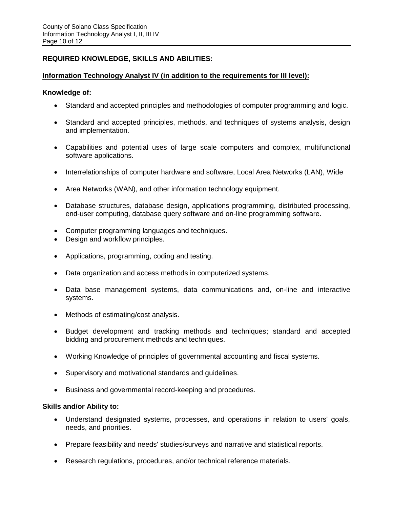# **REQUIRED KNOWLEDGE, SKILLS AND ABILITIES:**

## **Information Technology Analyst IV (in addition to the requirements for III level):**

#### **Knowledge of:**

- Standard and accepted principles and methodologies of computer programming and logic.
- Standard and accepted principles, methods, and techniques of systems analysis, design and implementation.
- Capabilities and potential uses of large scale computers and complex, multifunctional software applications.
- Interrelationships of computer hardware and software, Local Area Networks (LAN), Wide
- Area Networks (WAN), and other information technology equipment.
- Database structures, database design, applications programming, distributed processing, end-user computing, database query software and on-line programming software.
- Computer programming languages and techniques.
- Design and workflow principles.
- Applications, programming, coding and testing.
- Data organization and access methods in computerized systems.
- Data base management systems, data communications and, on-line and interactive systems.
- Methods of estimating/cost analysis.
- Budget development and tracking methods and techniques; standard and accepted bidding and procurement methods and techniques.
- Working Knowledge of principles of governmental accounting and fiscal systems.
- Supervisory and motivational standards and guidelines.
- Business and governmental record-keeping and procedures.

#### **Skills and/or Ability to:**

- Understand designated systems, processes, and operations in relation to users' goals, needs, and priorities.
- Prepare feasibility and needs' studies/surveys and narrative and statistical reports.
- Research regulations, procedures, and/or technical reference materials.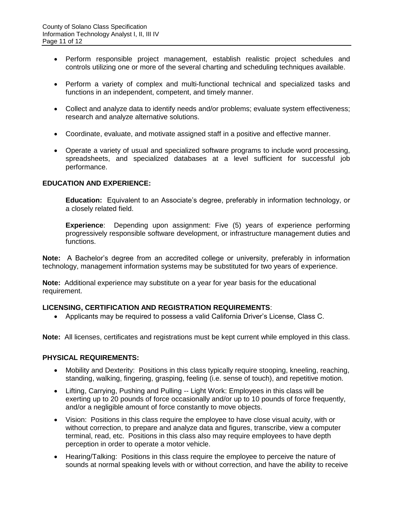- Perform responsible project management, establish realistic project schedules and controls utilizing one or more of the several charting and scheduling techniques available.
- Perform a variety of complex and multi-functional technical and specialized tasks and functions in an independent, competent, and timely manner.
- Collect and analyze data to identify needs and/or problems; evaluate system effectiveness; research and analyze alternative solutions.
- Coordinate, evaluate, and motivate assigned staff in a positive and effective manner.
- Operate a variety of usual and specialized software programs to include word processing, spreadsheets, and specialized databases at a level sufficient for successful job performance.

## **EDUCATION AND EXPERIENCE:**

**Education:** Equivalent to an Associate's degree, preferably in information technology, or a closely related field.

**Experience**: Depending upon assignment: Five (5) years of experience performing progressively responsible software development, or infrastructure management duties and functions.

**Note:** A Bachelor's degree from an accredited college or university, preferably in information technology, management information systems may be substituted for two years of experience.

**Note:** Additional experience may substitute on a year for year basis for the educational requirement.

#### **LICENSING, CERTIFICATION AND REGISTRATION REQUIREMENTS**:

Applicants may be required to possess a valid California Driver's License, Class C.

**Note:** All licenses, certificates and registrations must be kept current while employed in this class.

#### **PHYSICAL REQUIREMENTS:**

- Mobility and Dexterity: Positions in this class typically require stooping, kneeling, reaching, standing, walking, fingering, grasping, feeling (i.e. sense of touch), and repetitive motion.
- Lifting, Carrying, Pushing and Pulling -- Light Work: Employees in this class will be exerting up to 20 pounds of force occasionally and/or up to 10 pounds of force frequently, and/or a negligible amount of force constantly to move objects.
- Vision: Positions in this class require the employee to have close visual acuity, with or without correction, to prepare and analyze data and figures, transcribe, view a computer terminal, read, etc. Positions in this class also may require employees to have depth perception in order to operate a motor vehicle.
- Hearing/Talking: Positions in this class require the employee to perceive the nature of sounds at normal speaking levels with or without correction, and have the ability to receive